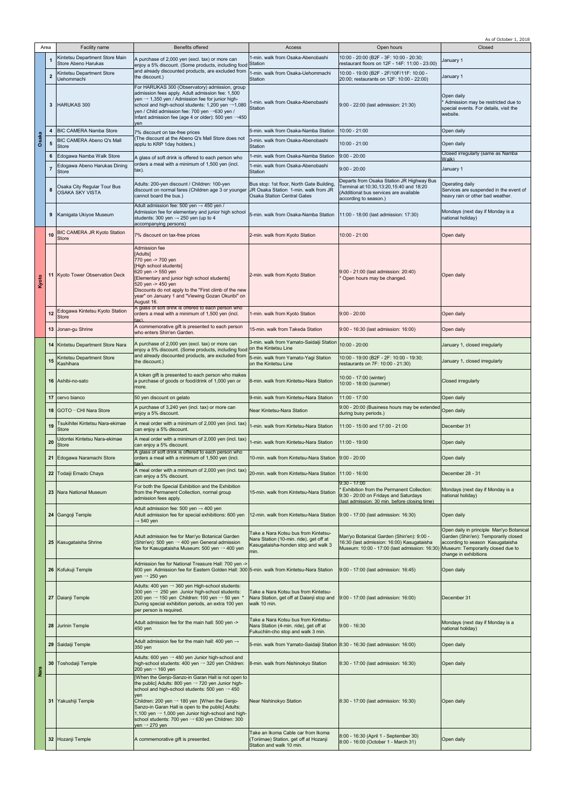| Area  |                |                                                       |                                                                                                                                                                                                                                                                                                                                                                                                                                                                |                                                                                                                                |                                                                                                                                                                            | As of October 1, 2018                                                                                    |
|-------|----------------|-------------------------------------------------------|----------------------------------------------------------------------------------------------------------------------------------------------------------------------------------------------------------------------------------------------------------------------------------------------------------------------------------------------------------------------------------------------------------------------------------------------------------------|--------------------------------------------------------------------------------------------------------------------------------|----------------------------------------------------------------------------------------------------------------------------------------------------------------------------|----------------------------------------------------------------------------------------------------------|
|       |                | Facility name                                         | <b>Benefits offered</b>                                                                                                                                                                                                                                                                                                                                                                                                                                        | Access                                                                                                                         | Open hours                                                                                                                                                                 | Closed                                                                                                   |
|       | 1              | Kintetsu Department Store Main<br>Store Abeno Harukas | A purchase of 2,000 yen (excl. tax) or more can<br>enjoy a 5% discount. (Some products, including food                                                                                                                                                                                                                                                                                                                                                         | 1-min. walk from Osaka-Abenobashi<br>Station                                                                                   | 10:00 - 20:00 (B2F - 3F: 10:00 - 20:30;<br>restaurant floors on 12F - 14F: 11:00 - 23:00)                                                                                  | January 1                                                                                                |
|       |                | Kintetsu Department Store                             | and already discounted products, are excluded from                                                                                                                                                                                                                                                                                                                                                                                                             | -min, walk from Osaka-Uehommachi                                                                                               | 10:00 - 19:00 (B2F - 2F/10F/11F: 10:00 -                                                                                                                                   |                                                                                                          |
|       | $\overline{2}$ | Uehommachi                                            | the discount.)                                                                                                                                                                                                                                                                                                                                                                                                                                                 | Station                                                                                                                        | 20:00; restaurants on 12F: 10:00 - 22:00)                                                                                                                                  | January 1                                                                                                |
|       | 3              | HARUKAS 300                                           | For HARUKAS 300 (Observatory) admission, group<br>admission fees apply. Adult admission fee: 1,500<br>yen $\rightarrow$ 1,350 yen / Admission fee for junior high-<br>school and high-school students: 1,200 yen →1,080<br>yen / Child admission fee: 700 yen →630 yen /<br>Infant admission fee (age 4 or older): 500 yen $\rightarrow$ 450<br>ven                                                                                                            | 1-min. walk from Osaka-Abenobashi<br><b>Station</b>                                                                            | 9:00 - 22:00 (last admission: 21:30)                                                                                                                                       | Open daily<br>* Admission may be restricted due to<br>special events. For details, visit the<br>website. |
|       | $\overline{4}$ | <b>BIC CAMERA Namba Store</b>                         | 7% discount on tax-free prices                                                                                                                                                                                                                                                                                                                                                                                                                                 | 5-min. walk from Osaka-Namba Station                                                                                           | 10:00 - 21:00                                                                                                                                                              | Open daily                                                                                               |
| Osaka | ${\bf 5}$      | BIC CAMERA Abeno Q's Mall                             | (The discount at the Abeno Q's Mall Store does not<br>applu to KRP 1day holders.)                                                                                                                                                                                                                                                                                                                                                                              | 3-min. walk from Osaka-Abenobashi                                                                                              | $10:00 - 21:00$                                                                                                                                                            | Open daily                                                                                               |
|       |                | <b>Store</b>                                          |                                                                                                                                                                                                                                                                                                                                                                                                                                                                | Station                                                                                                                        |                                                                                                                                                                            | Closed irregularly (same as Namba                                                                        |
|       | 6              | Edogawa Namba Walk Store                              | A glass of soft drink is offered to each person who<br>orders a meal with a minimum of 1,500 yen (incl.                                                                                                                                                                                                                                                                                                                                                        | 1-min. walk from Osaka-Namba Station                                                                                           | $9:00 - 20:00$                                                                                                                                                             | Walk)                                                                                                    |
|       | $\overline{7}$ | Edogawa Abeno Harukas Dining<br><b>Store</b>          | $\mathsf{tax}$ ).                                                                                                                                                                                                                                                                                                                                                                                                                                              | 1-min. walk from Osaka-Abenobashi<br>Station                                                                                   | $9:00 - 20:00$                                                                                                                                                             | January 1                                                                                                |
|       | 8              | Osaka City Regular Tour Bus<br><b>OSAKA SKY VISTA</b> | Adults: 200-yen discount / Children: 100-yen<br>discount on normal fares (Children age 3 or younger<br>cannot board the bus.)                                                                                                                                                                                                                                                                                                                                  | Bus stop: 1st floor, North Gate Building<br>JR Osaka Station 1-min. walk from JR<br><b>Osaka Station Central Gates</b>         | Departs from Osaka Station JR Highway Bus<br>Terminal at:10:30,13:20,15:40 and 18:20<br>(Additional bus services are available<br>according to season.)                    | Operating daily<br>Services are suspended in the event of<br>heavy rain or other bad weather.            |
|       | 9              | Kamigata Ukiyoe Museum                                | Adult admission fee: 500 yen $\rightarrow$ 450 yen /<br>Admission fee for elementary and junior high school<br>students: 300 yen $\rightarrow$ 250 yen (up to 4<br>accompanying persons)                                                                                                                                                                                                                                                                       | 5-min. walk from Osaka-Namba Station                                                                                           | 11:00 - 18:00 (last admission: 17:30)                                                                                                                                      | Mondays (next day if Monday is a<br>national holiday)                                                    |
|       | 10             | BIC CAMERA JR Kyoto Station<br><b>Store</b>           | 7% discount on tax-free prices                                                                                                                                                                                                                                                                                                                                                                                                                                 | 2-min. walk from Kyoto Station                                                                                                 | 10:00 - 21:00                                                                                                                                                              | Open daily                                                                                               |
| Kyoto | 11             | Kyoto Tower Observation Deck                          | Admission fee<br>[Adults]<br>770 yen -> 700 yen<br>[High school students]<br>620 yen -> 550 yen<br>[Elementary and junior high school students]<br>520 yen -> 450 yen<br>Discounts do not apply to the "First climb of the new<br>year" on January 1 and "Viewing Gozan Okuribi" on<br>August 16.                                                                                                                                                              | 2-min. walk from Kyoto Station                                                                                                 | 9:00 - 21:00 (last admission: 20:40)<br>Open hours may be changed.                                                                                                         | Open daily                                                                                               |
|       | 12             | Edogawa Kintetsu Kyoto Station<br><b>Store</b>        | A glass of soft drink is offered to each person who<br>orders a meal with a minimum of 1,500 yen (incl.                                                                                                                                                                                                                                                                                                                                                        | 1-min. walk from Kyoto Station                                                                                                 | $9:00 - 20:00$                                                                                                                                                             | Open daily                                                                                               |
|       |                | 13 Jonan-gu Shrine                                    | $\frac{1}{2}$<br>A commemorative gift is presented to each person                                                                                                                                                                                                                                                                                                                                                                                              | 15-min. walk from Takeda Station                                                                                               | 9:00 - 16:30 (last admission: 16:00)                                                                                                                                       | Open daily                                                                                               |
|       |                |                                                       | who enters Shin'en Garden.                                                                                                                                                                                                                                                                                                                                                                                                                                     |                                                                                                                                |                                                                                                                                                                            |                                                                                                          |
|       |                | 14 Kintetsu Department Store Nara                     | A purchase of 2,000 yen (excl. tax) or more can<br>enjoy a 5% discount. (Some products, including food                                                                                                                                                                                                                                                                                                                                                         | 3-min. walk from Yamato-Saidaiji Station 10:00 - 20:00<br>on the Kintetsu Line                                                 |                                                                                                                                                                            | January 1, closed irregularly                                                                            |
|       | 15             | <b>Kintetsu Department Store</b>                      | and already discounted products, are excluded from<br>the discount.)                                                                                                                                                                                                                                                                                                                                                                                           | 5-min. walk from Yamato-Yagi Station                                                                                           | 10:00 - 19:00 (B2F - 2F: 10:00 - 19:30;                                                                                                                                    | January 1, closed irregularly                                                                            |
|       |                | Kashihara                                             |                                                                                                                                                                                                                                                                                                                                                                                                                                                                | on the Kintetsu Line                                                                                                           | restaurants on 7F: 10:00 - 21:30)                                                                                                                                          |                                                                                                          |
|       |                | 16 Ashibi-no-sato                                     | A token gift is presented to each person who makes<br>a purchase of goods or food/drink of 1,000 yen or<br>more.                                                                                                                                                                                                                                                                                                                                               | 8-min. walk from Kintetsu-Nara Station                                                                                         | 10:00 - 17:00 (winter)<br>10:00 - 18:00 (summer)                                                                                                                           | Closed irregularly                                                                                       |
|       |                | 17 cervo bianco                                       | 50 yen discount on gelato                                                                                                                                                                                                                                                                                                                                                                                                                                      | 9-min. walk from Kintetsu-Nara Station                                                                                         | $11:00 - 17:00$                                                                                                                                                            | Open daily                                                                                               |
|       |                | 18 GOTO-CHI Nara Store                                | A purchase of 3,240 yen (incl. tax) or more can<br>enjoy a 5% discount.                                                                                                                                                                                                                                                                                                                                                                                        | Near Kintetsu-Nara Station                                                                                                     | 9:00 - 20:00 (Business hours may be extended<br>during busy periods.)                                                                                                      | Open daily                                                                                               |
|       | 19             | Tsukihitei Kintetsu Nara-ekimae                       | A meal order with a minimum of 2,000 yen (incl. tax)                                                                                                                                                                                                                                                                                                                                                                                                           | 1-min. walk from Kintetsu-Nara Station                                                                                         | 11:00 - 15:00 and 17:00 - 21:00                                                                                                                                            | December 31                                                                                              |
|       |                | <b>Store</b><br>Udontei Kintetsu Nara-ekimae          | can enjoy a 5% discount.<br>A meal order with a minimum of 2,000 yen (incl. tax)                                                                                                                                                                                                                                                                                                                                                                               |                                                                                                                                |                                                                                                                                                                            |                                                                                                          |
|       | 20             | <b>Store</b>                                          | can enjoy a 5% discount.                                                                                                                                                                                                                                                                                                                                                                                                                                       | -min. walk from Kintetsu-Nara Station                                                                                          | 11:00 - 19:00                                                                                                                                                              | Open daily                                                                                               |
|       |                | 21 Edogawa Naramachi Store                            | A glass of soft drink is offered to each person who<br>orders a meal with a minimum of 1,500 yen (incl.                                                                                                                                                                                                                                                                                                                                                        | 10-min. walk from Kintetsu-Nara Station                                                                                        | $9:00 - 20:00$                                                                                                                                                             | Open daily                                                                                               |
|       |                | 22 Todaiji Emado Chaya                                | $\{$ ax $)$ .<br>A meal order with a minimum of 2,000 yen (incl. tax)                                                                                                                                                                                                                                                                                                                                                                                          | 20-min. walk from Kintetsu-Nara Station   11:00 - 16:00                                                                        |                                                                                                                                                                            | December 28 - 31                                                                                         |
|       |                |                                                       | can enjoy a 5% discount.                                                                                                                                                                                                                                                                                                                                                                                                                                       |                                                                                                                                | $9:30 - 17:00$                                                                                                                                                             |                                                                                                          |
|       |                | 23 Nara National Museum                               | For both the Special Exhibition and the Exhibition<br>from the Permanent Collection, normal group<br>admission fees apply.                                                                                                                                                                                                                                                                                                                                     | 15-min. walk from Kintetsu-Nara Station                                                                                        | Exhibition from the Permanent Collection:<br>9:30 - 20:00 on Fridays and Saturdays<br>(last admission: 30 min. before closing time)                                        | Mondays (next day if Monday is a<br>national holiday)                                                    |
|       |                | 24 Gangoji Temple                                     | Adult admission fee: 500 yen $\rightarrow$ 400 yen<br>Adult admission fee for special exhibitions: 600 yen<br>→ 540 yen                                                                                                                                                                                                                                                                                                                                        | 12-min. walk from Kintetsu-Nara Station 9:00 - 17:00 (last admission: 16:30)                                                   |                                                                                                                                                                            | Open daily<br>Open daily in principle Man'yo Botanical                                                   |
|       |                | 25 Kasugataisha Shrine                                | Adult admission fee for Man'yo Botanical Garden<br>(Shin'en): 500 yen $\rightarrow$ 400 yen General admission<br>fee for Kasugataisha Museum: 500 yen $\rightarrow$ 400 yen                                                                                                                                                                                                                                                                                    | Take a Nara Kotsu bus from Kintetsu-<br>Nara Station (10-min. ride), get off at<br>Kasugataisha-honden stop and walk 3<br>min. | Man'yo Botanical Garden (Shin'en): 9:00 -<br>16:30 (last admission: 16:00) Kasugataisha<br>Museum: 10:00 - 17:00 (last admission: 16:30) Museum: Temporarily closed due to | Garden (Shin'en): Temporarily closed<br>according to season Kasugataisha<br>change in exhibitions        |
|       |                | 26 Kofukuji Temple                                    | Admission fee for National Treasure Hall: 700 yen -><br>600 yen Admission fee for Eastern Golden Hall: 300 5-min. walk from Kintetsu-Nara Station<br>yen $\rightarrow$ 250 yen                                                                                                                                                                                                                                                                                 |                                                                                                                                | 9:00 - 17:00 (last admission: 16:45)                                                                                                                                       | Open daily                                                                                               |
|       |                | 27 Daianji Temple                                     | Adults: 400 yen → 360 yen High-school students:<br>300 yen $\rightarrow$ 250 yen Junior high-school students:<br>200 yen $\rightarrow$ 150 yen Children: 100 yen $\rightarrow$ 50 yen *<br>During special exhibition periods, an extra 100 yen<br>per person is required.                                                                                                                                                                                      | Take a Nara Kotsu bus from Kintetsu-<br>Nara Station, get off at Daianji stop and<br>walk 10 min.                              | 9:00 - 17:00 (last admission: 16:00)                                                                                                                                       | December 31                                                                                              |
|       |                | 28 Jurinin Temple                                     | Adult admission fee for the main hall: 500 yen -><br>450 yen                                                                                                                                                                                                                                                                                                                                                                                                   | Take a Nara Kotsu bus from Kintetsu-<br>Nara Station (4-min. ride), get off at<br>Fukuchiin-cho stop and walk 3 min.           | $9:00 - 16:30$                                                                                                                                                             | Mondays (next day if Monday is a<br>national holiday)                                                    |
|       |                | 29 Saidaiji Temple                                    | Adult admission fee for the main hall: 400 yen $\rightarrow$<br>350 yen                                                                                                                                                                                                                                                                                                                                                                                        | 5-min. walk from Yamato-Saidaiji Station 8:30 - 16:30 (last admission: 16:00)                                                  |                                                                                                                                                                            | Open daily                                                                                               |
|       | 30             | Toshodaiji Temple                                     | Adults: 600 yen $\rightarrow$ 480 yen Junior high-school and<br>high-school students: 400 yen $\rightarrow$ 320 yen Children:<br>200 yen→ 160 yen                                                                                                                                                                                                                                                                                                              | 8-min. walk from Nishinokyo Station                                                                                            | 8:30 - 17:00 (last admission: 16:30)                                                                                                                                       | Open daily                                                                                               |
| Nara  |                | 31 Yakushiji Temple                                   | [When the Genjo-Sanzo-in Garan Hall is not open to<br>the public] Adults: 800 yen $\rightarrow$ 720 yen Junior high-<br>school and high-school students: 500 yen $\rightarrow$ 450<br>ven<br>Children: 200 yen $\rightarrow$ 180 yen [When the Genjo-<br>Sanzo-in Garan Hall is open to the public] Adults:<br>1,100 yen $\rightarrow$ 1,000 yen Junior high-school and high-<br>school students: 700 yen → 630 yen Children: 300<br>yen $\rightarrow$ 270 yen | <b>Near Nishinokyo Station</b>                                                                                                 | 8:30 - 17:00 (last admission: 16:30)                                                                                                                                       | Open daily                                                                                               |
|       |                | 32 Hozanji Temple                                     | A commemorative gift is presented.                                                                                                                                                                                                                                                                                                                                                                                                                             | Take an Ikoma Cable car from Ikoma<br>(Toriimae) Station, get off at Hozanji<br>Station and walk 10 min.                       | 8:00 - 16:30 (April 1 - September 30)<br>8:00 - 16:00 (October 1 - March 31)                                                                                               | Open daily                                                                                               |